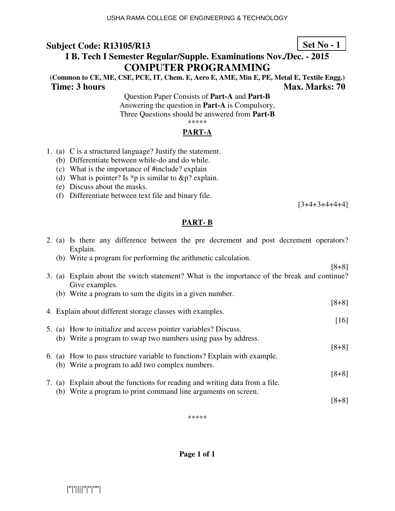## **Set No - 1**

## **I B. Tech I Semester Regular/Supple. Examinations Nov./Dec. - 2015 COMPUTER PROGRAMMING**

**(Common to CE, ME, CSE, PCE, IT, Chem. E, Aero E, AME, Min E, PE, Metal E, Textile Engg.) Time: 3 hours** Max. Marks: 70

Question Paper Consists of **Part-A** and **Part-B** Answering the question in **Part-A** is Compulsory, Three Questions should be answered from **Part-B** \*\*\*\*\*

### **PART-A**

- 1. (a) C is a structured language? Justify the statement.
	- (b) Differentiate between while-do and do while.
	- (c) What is the importance of #include? explain
	- (d) What is pointer? Is \*p is similar to  $\&p$ ? explain.
	- (e) Discuss about the masks.
	- (f) Differentiate between text file and binary file.

 $[3+4+3+4+4+4]$ 

#### **PART- B**

|  | 2. (a) Is there any difference between the pre decrement and post decrement operators?<br>Explain.             |         |
|--|----------------------------------------------------------------------------------------------------------------|---------|
|  | (b) Write a program for performing the arithmetic calculation.                                                 |         |
|  |                                                                                                                | $[8+8]$ |
|  | 3. (a) Explain about the switch statement? What is the importance of the break and continue?<br>Give examples. |         |
|  | (b) Write a program to sum the digits in a given number.                                                       |         |
|  |                                                                                                                | $[8+8]$ |
|  | 4. Explain about different storage classes with examples.                                                      |         |
|  |                                                                                                                | [16]    |
|  | 5. (a) How to initialize and access pointer variables? Discuss.                                                |         |
|  | (b) Write a program to swap two numbers using pass by address.                                                 |         |
|  |                                                                                                                | $[8+8]$ |
|  | 6. (a) How to pass structure variable to functions? Explain with example.                                      |         |
|  | (b) Write a program to add two complex numbers.                                                                |         |
|  |                                                                                                                | $[8+8]$ |
|  | 7. (a) Explain about the functions for reading and writing data from a file.                                   |         |
|  | (b) Write a program to print command line arguments on screen.                                                 |         |
|  |                                                                                                                | $[8+8]$ |

\*\*\*\*\*

**Page 1 of 1**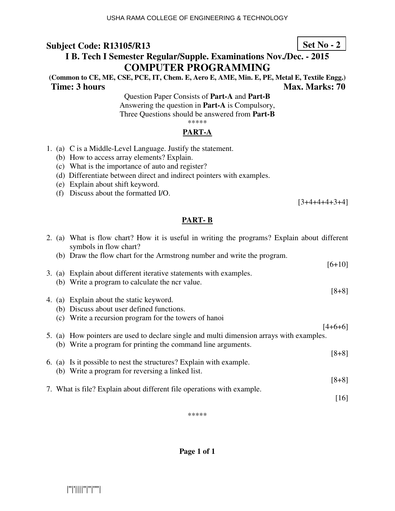# **I B. Tech I Semester Regular/Supple. Examinations Nov./Dec. - 2015 COMPUTER PROGRAMMING**

**(Common to CE, ME, CSE, PCE, IT, Chem. E, Aero E, AME, Min. E, PE, Metal E, Textile Engg.) Time: 3 hours** Max. Marks: 70

Question Paper Consists of **Part-A** and **Part-B** Answering the question in **Part-A** is Compulsory, Three Questions should be answered from **Part-B** \*\*\*\*\*

#### **PART-A**

- 1. (a) C is a Middle-Level Language. Justify the statement.
	- (b) How to access array elements? Explain.
	- (c) What is the importance of auto and register?
	- (d) Differentiate between direct and indirect pointers with examples.
	- (e) Explain about shift keyword.
	- (f) Discuss about the formatted I/O.

 $[3+4+4+4+3+4]$ 

### **PART- B**

| symbols in flow chart? |                                                                                                                                                                                                                                                                                                                                                                                                                                                                                                                                                                                                                                                                                                                                                                                                                                                                                       |
|------------------------|---------------------------------------------------------------------------------------------------------------------------------------------------------------------------------------------------------------------------------------------------------------------------------------------------------------------------------------------------------------------------------------------------------------------------------------------------------------------------------------------------------------------------------------------------------------------------------------------------------------------------------------------------------------------------------------------------------------------------------------------------------------------------------------------------------------------------------------------------------------------------------------|
|                        |                                                                                                                                                                                                                                                                                                                                                                                                                                                                                                                                                                                                                                                                                                                                                                                                                                                                                       |
|                        |                                                                                                                                                                                                                                                                                                                                                                                                                                                                                                                                                                                                                                                                                                                                                                                                                                                                                       |
|                        |                                                                                                                                                                                                                                                                                                                                                                                                                                                                                                                                                                                                                                                                                                                                                                                                                                                                                       |
|                        |                                                                                                                                                                                                                                                                                                                                                                                                                                                                                                                                                                                                                                                                                                                                                                                                                                                                                       |
|                        |                                                                                                                                                                                                                                                                                                                                                                                                                                                                                                                                                                                                                                                                                                                                                                                                                                                                                       |
|                        |                                                                                                                                                                                                                                                                                                                                                                                                                                                                                                                                                                                                                                                                                                                                                                                                                                                                                       |
|                        |                                                                                                                                                                                                                                                                                                                                                                                                                                                                                                                                                                                                                                                                                                                                                                                                                                                                                       |
|                        |                                                                                                                                                                                                                                                                                                                                                                                                                                                                                                                                                                                                                                                                                                                                                                                                                                                                                       |
|                        |                                                                                                                                                                                                                                                                                                                                                                                                                                                                                                                                                                                                                                                                                                                                                                                                                                                                                       |
|                        |                                                                                                                                                                                                                                                                                                                                                                                                                                                                                                                                                                                                                                                                                                                                                                                                                                                                                       |
|                        |                                                                                                                                                                                                                                                                                                                                                                                                                                                                                                                                                                                                                                                                                                                                                                                                                                                                                       |
|                        |                                                                                                                                                                                                                                                                                                                                                                                                                                                                                                                                                                                                                                                                                                                                                                                                                                                                                       |
|                        |                                                                                                                                                                                                                                                                                                                                                                                                                                                                                                                                                                                                                                                                                                                                                                                                                                                                                       |
|                        |                                                                                                                                                                                                                                                                                                                                                                                                                                                                                                                                                                                                                                                                                                                                                                                                                                                                                       |
|                        |                                                                                                                                                                                                                                                                                                                                                                                                                                                                                                                                                                                                                                                                                                                                                                                                                                                                                       |
|                        |                                                                                                                                                                                                                                                                                                                                                                                                                                                                                                                                                                                                                                                                                                                                                                                                                                                                                       |
|                        | 2. (a) What is flow chart? How it is useful in writing the programs? Explain about different<br>(b) Draw the flow chart for the Armstrong number and write the program.<br>$[6+10]$<br>3. (a) Explain about different iterative statements with examples.<br>(b) Write a program to calculate the ncr value.<br>$[8+8]$<br>4. (a) Explain about the static keyword.<br>(b) Discuss about user defined functions.<br>(c) Write a recursion program for the towers of hanoi<br>$[4+6+6]$<br>5. (a) How pointers are used to declare single and multi dimension arrays with examples.<br>(b) Write a program for printing the command line arguments.<br>$[8+8]$<br>6. (a) Is it possible to nest the structures? Explain with example.<br>(b) Write a program for reversing a linked list.<br>$[8+8]$<br>7. What is file? Explain about different file operations with example.<br>[16] |

\*\*\*\*\*

**Page 1 of 1** 

## **Set No - 2**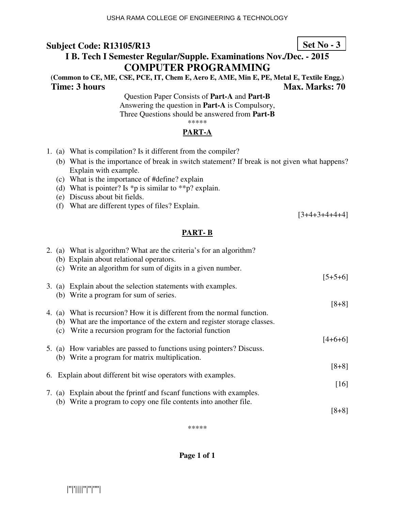# **I B. Tech I Semester Regular/Supple. Examinations Nov./Dec. - 2015 COMPUTER PROGRAMMING**

**(Common to CE, ME, CSE, PCE, IT, Chem E, Aero E, AME, Min E, PE, Metal E, Textile Engg.) Time: 3 hours Max. Marks: 70 Max. Marks: 70** 

Question Paper Consists of **Part-A** and **Part-B** Answering the question in **Part-A** is Compulsory, Three Questions should be answered from **Part-B** \*\*\*\*\*

#### **PART-A**

- 1. (a) What is compilation? Is it different from the compiler?
	- (b) What is the importance of break in switch statement? If break is not given what happens? Explain with example.
	- (c) What is the importance of #define? explain
	- (d) What is pointer? Is \*p is similar to \*\*p? explain.
	- (e) Discuss about bit fields.
	- (f) What are different types of files? Explain.

 $[3+4+3+4+4+4]$ 

### **PART- B**

|     | 2. (a) What is algorithm? What are the criteria's for an algorithm?<br>(b) Explain about relational operators. |           |
|-----|----------------------------------------------------------------------------------------------------------------|-----------|
|     | (c) Write an algorithm for sum of digits in a given number.                                                    |           |
|     | 3. (a) Explain about the selection statements with examples.                                                   | $[5+5+6]$ |
|     | (b) Write a program for sum of series.                                                                         |           |
|     |                                                                                                                | $[8+8]$   |
|     | 4. (a) What is recursion? How it is different from the normal function.                                        |           |
|     | (b) What are the importance of the extern and register storage classes.                                        |           |
| (c) | Write a recursion program for the factorial function                                                           |           |
|     |                                                                                                                | $[4+6+6]$ |
|     | 5. (a) How variables are passed to functions using pointers? Discuss.                                          |           |
|     | (b) Write a program for matrix multiplication.                                                                 |           |
|     |                                                                                                                | $[8+8]$   |
|     | 6. Explain about different bit wise operators with examples.                                                   | [16]      |
|     | 7. (a) Explain about the fprint and fscanf functions with examples.                                            |           |
|     | (b) Write a program to copy one file contents into another file.                                               |           |
|     |                                                                                                                | [8+8]     |

\*\*\*\*\*

**Page 1 of 1** 

**Set No - 3**